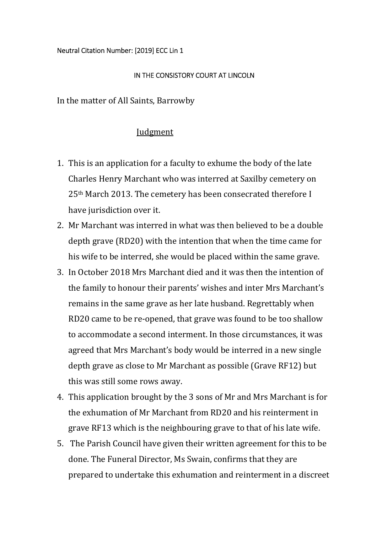## IN THE CONSISTORY COURT AT LINCOLN

In the matter of All Saints, Barrowby

## **Iudgment**

- 1. This is an application for a faculty to exhume the body of the late Charles Henry Marchant who was interred at Saxilby cemetery on 25th March 2013. The cemetery has been consecrated therefore I have jurisdiction over it.
- 2. Mr Marchant was interred in what was then believed to be a double depth grave (RD20) with the intention that when the time came for his wife to be interred, she would be placed within the same grave.
- 3. In October 2018 Mrs Marchant died and it was then the intention of the family to honour their parents' wishes and inter Mrs Marchant's remains in the same grave as her late husband. Regrettably when RD20 came to be re-opened, that grave was found to be too shallow to accommodate a second interment. In those circumstances, it was agreed that Mrs Marchant's body would be interred in a new single depth grave as close to Mr Marchant as possible (Grave RF12) but this was still some rows away.
- 4. This application brought by the 3 sons of Mr and Mrs Marchant is for the exhumation of Mr Marchant from RD20 and his reinterment in grave RF13 which is the neighbouring grave to that of his late wife.
- 5. The Parish Council have given their written agreement for this to be done. The Funeral Director, Ms Swain, confirms that they are prepared to undertake this exhumation and reinterment in a discreet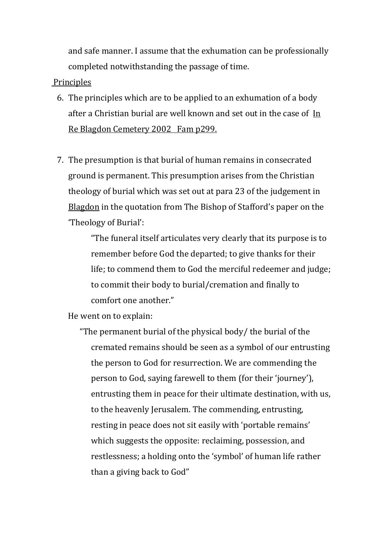and safe manner. I assume that the exhumation can be professionally completed notwithstanding the passage of time.

## **Principles**

- 6. The principles which are to be applied to an exhumation of a body after a Christian burial are well known and set out in the case of In Re Blagdon Cemetery 2002 Fam p299.
- 7. The presumption is that burial of human remains in consecrated ground is permanent. This presumption arises from the Christian theology of burial which was set out at para 23 of the judgement in Blagdon in the quotation from The Bishop of Stafford's paper on the 'Theology of Burial':

"The funeral itself articulates very clearly that its purpose is to remember before God the departed; to give thanks for their life; to commend them to God the merciful redeemer and judge; to commit their body to burial/cremation and finally to comfort one another."

He went on to explain:

"The permanent burial of the physical body/ the burial of the cremated remains should be seen as a symbol of our entrusting the person to God for resurrection. We are commending the person to God, saying farewell to them (for their 'journey'), entrusting them in peace for their ultimate destination, with us, to the heavenly Jerusalem. The commending, entrusting, resting in peace does not sit easily with 'portable remains' which suggests the opposite: reclaiming, possession, and restlessness; a holding onto the 'symbol' of human life rather than a giving back to God"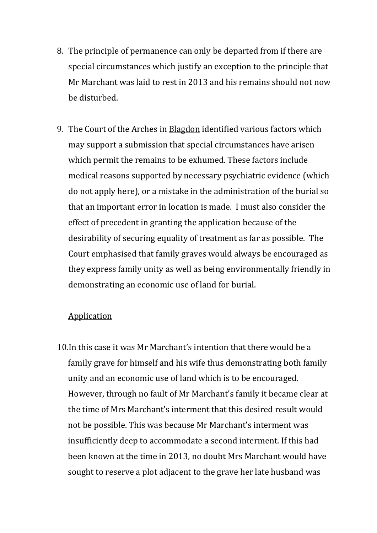- 8. The principle of permanence can only be departed from if there are special circumstances which justify an exception to the principle that Mr Marchant was laid to rest in 2013 and his remains should not now be disturbed.
- 9. The Court of the Arches in Blagdon identified various factors which may support a submission that special circumstances have arisen which permit the remains to be exhumed. These factors include medical reasons supported by necessary psychiatric evidence (which do not apply here), or a mistake in the administration of the burial so that an important error in location is made. I must also consider the effect of precedent in granting the application because of the desirability of securing equality of treatment as far as possible. The Court emphasised that family graves would always be encouraged as they express family unity as well as being environmentally friendly in demonstrating an economic use of land for burial.

## **Application**

10.In this case it was Mr Marchant's intention that there would be a family grave for himself and his wife thus demonstrating both family unity and an economic use of land which is to be encouraged. However, through no fault of Mr Marchant's family it became clear at the time of Mrs Marchant's interment that this desired result would not be possible. This was because Mr Marchant's interment was insufficiently deep to accommodate a second interment. If this had been known at the time in 2013, no doubt Mrs Marchant would have sought to reserve a plot adjacent to the grave her late husband was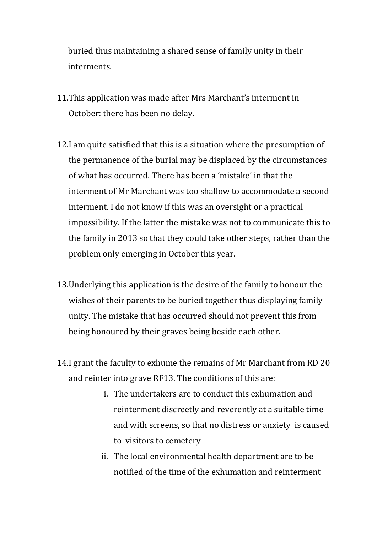buried thus maintaining a shared sense of family unity in their interments.

- 11.This application was made after Mrs Marchant's interment in October: there has been no delay.
- 12.I am quite satisfied that this is a situation where the presumption of the permanence of the burial may be displaced by the circumstances of what has occurred. There has been a 'mistake' in that the interment of Mr Marchant was too shallow to accommodate a second interment. I do not know if this was an oversight or a practical impossibility. If the latter the mistake was not to communicate this to the family in 2013 so that they could take other steps, rather than the problem only emerging in October this year.
- 13.Underlying this application is the desire of the family to honour the wishes of their parents to be buried together thus displaying family unity. The mistake that has occurred should not prevent this from being honoured by their graves being beside each other.
- 14.I grant the faculty to exhume the remains of Mr Marchant from RD 20 and reinter into grave RF13. The conditions of this are:
	- i. The undertakers are to conduct this exhumation and reinterment discreetly and reverently at a suitable time and with screens, so that no distress or anxiety is caused to visitors to cemetery
	- ii. The local environmental health department are to be notified of the time of the exhumation and reinterment